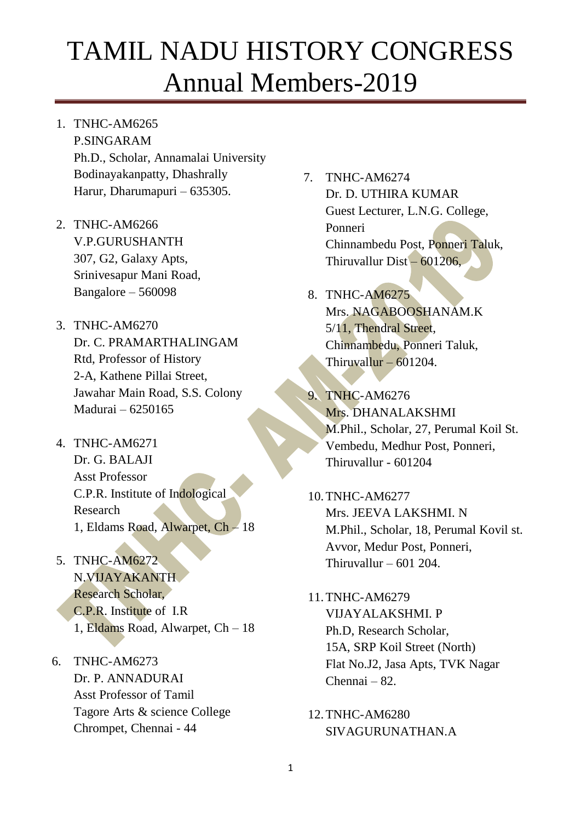- 1. TNHC-AM6265 P.SINGARAM Ph.D., Scholar, Annamalai University Bodinayakanpatty, Dhashrally Harur, Dharumapuri – 635305.
- 2. TNHC-AM6266 V.P.GURUSHANTH 307, G2, Galaxy Apts, Srinivesapur Mani Road, Bangalore – 560098
- 3. TNHC-AM6270 Dr. C. PRAMARTHALINGAM Rtd, Professor of History 2-A, Kathene Pillai Street, Jawahar Main Road, S.S. Colony Madurai – 6250165
- 4. TNHC-AM6271 Dr. G. BALAJI Asst Professor C.P.R. Institute of Indological Research 1, Eldams Road, Alwarpet, Ch – 18
- 5. TNHC-AM6272 N.VIJAYAKANTH Research Scholar, C.P.R. Institute of I.R 1, Eldams Road, Alwarpet, Ch – 18
- 6. TNHC-AM6273 Dr. P. ANNADURAI Asst Professor of Tamil Tagore Arts & science College Chrompet, Chennai - 44

7. TNHC-AM6274 Dr. D. UTHIRA KUMAR Guest Lecturer, L.N.G. College, Ponneri Chinnambedu Post, Ponneri Taluk, Thiruvallur Dist – 601206,

### 8. TNHC-AM6275 Mrs. NAGABOOSHANAM.K 5/11, Thendral Street, Chinnambedu, Ponneri Taluk, Thiruvallur –  $601204$ .

- 9. TNHC-AM6276 Mrs. DHANALAKSHMI M.Phil., Scholar, 27, Perumal Koil St. Vembedu, Medhur Post, Ponneri, Thiruvallur - 601204
- 10.TNHC-AM6277 Mrs. JEEVA LAKSHMI. N M.Phil., Scholar, 18, Perumal Kovil st. Avvor, Medur Post, Ponneri, Thiruvallur –  $601$  204.
- 11.TNHC-AM6279 VIJAYALAKSHMI. P Ph.D, Research Scholar, 15A, SRP Koil Street (North) Flat No.J2, Jasa Apts, TVK Nagar Chennai – 82.
- 12.TNHC-AM6280 SIVAGURUNATHAN.A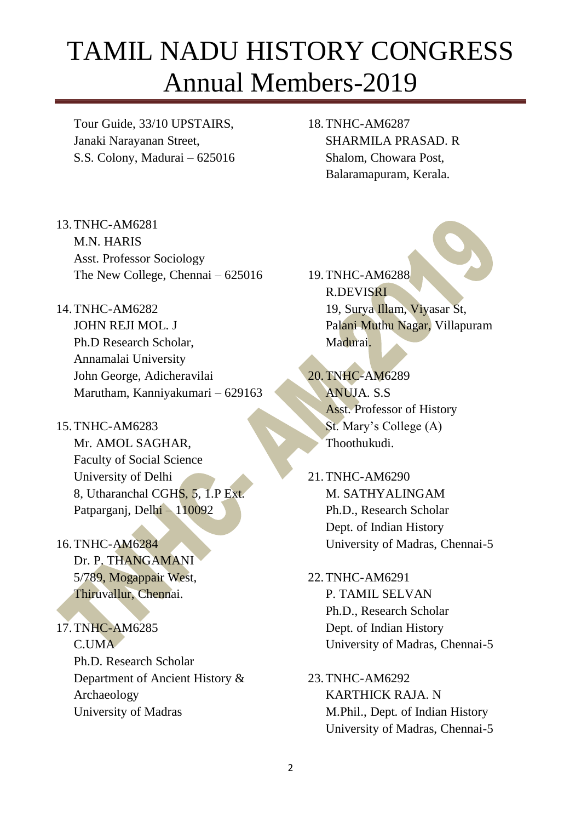Tour Guide, 33/10 UPSTAIRS, Janaki Narayanan Street, S.S. Colony, Madurai – 625016 18.TNHC-AM6287 SHARMILA PRASAD. R Shalom, Chowara Post, Balaramapuram, Kerala.

13.TNHC-AM6281 M.N. HARIS Asst. Professor Sociology The New College, Chennai – 625016

14.TNHC-AM6282 JOHN REJI MOL. J

Ph.D Research Scholar, Annamalai University John George, Adicheravilai Marutham, Kanniyakumari – 629163

- 15.TNHC-AM6283 Mr. AMOL SAGHAR, Faculty of Social Science University of Delhi 8, Utharanchal CGHS, 5, 1.P Ext. Patparganj, Delhi – 110092
- 16.TNHC-AM6284 Dr. P. THANGAMANI 5/789, Mogappair West, Thiruvallur, Chennai.
- 17.TNHC-AM6285 C.UMA Ph.D. Research Scholar Department of Ancient History & Archaeology University of Madras

19.TNHC-AM6288 R.DEVISRI 19, Surya Illam, Viyasar St, Palani Muthu Nagar, Villapuram Madurai.

- 20.TNHC-AM6289 ANUJA. S.S Asst. Professor of History St. Mary's College (A) Thoothukudi.
- 21.TNHC-AM6290 M. SATHYALINGAM Ph.D., Research Scholar Dept. of Indian History University of Madras, Chennai-5
- 22.TNHC-AM6291 P. TAMIL SELVAN Ph.D., Research Scholar Dept. of Indian History University of Madras, Chennai-5
- 23.TNHC-AM6292 KARTHICK RAJA. N M.Phil., Dept. of Indian History University of Madras, Chennai-5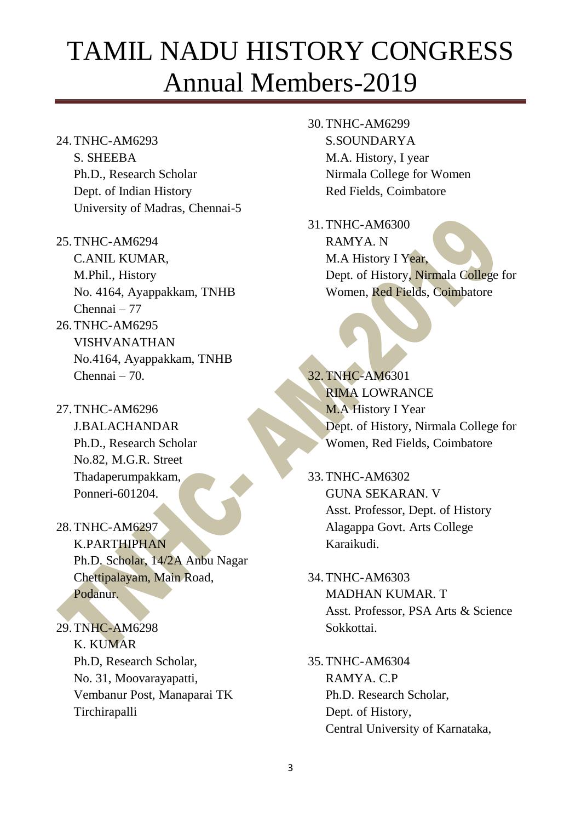- 24.TNHC-AM6293 S. SHEEBA Ph.D., Research Scholar Dept. of Indian History University of Madras, Chennai-5
- 25.TNHC-AM6294 C.ANIL KUMAR, M.Phil., History No. 4164, Ayappakkam, TNHB Chennai – 77 26.TNHC-AM6295 VISHVANATHAN No.4164, Ayappakkam, TNHB
- 27.TNHC-AM6296 J.BALACHANDAR Ph.D., Research Scholar No.82, M.G.R. Street Thadaperumpakkam, Ponneri-601204.

Chennai – 70.

- 28.TNHC-AM6297 K.PARTHIPHAN Ph.D. Scholar, 14/2A Anbu Nagar Chettipalayam, Main Road, Podanur.
- 29.TNHC-AM6298 K. KUMAR Ph.D, Research Scholar, No. 31, Moovarayapatti, Vembanur Post, Manaparai TK Tirchirapalli
- 30.TNHC-AM6299 S.SOUNDARYA M.A. History, I year Nirmala College for Women Red Fields, Coimbatore
- 31.TNHC-AM6300 RAMYA. N M.A History I Year, Dept. of History, Nirmala College for Women, Red Fields, Coimbatore

32.TNHC-AM6301 RIMA LOWRANCE M.A History I Year Dept. of History, Nirmala College for Women, Red Fields, Coimbatore

33.TNHC-AM6302 GUNA SEKARAN. V Asst. Professor, Dept. of History Alagappa Govt. Arts College Karaikudi.

- 34.TNHC-AM6303 MADHAN KUMAR. T Asst. Professor, PSA Arts & Science Sokkottai.
- 35.TNHC-AM6304 RAMYA. C.P Ph.D. Research Scholar, Dept. of History, Central University of Karnataka,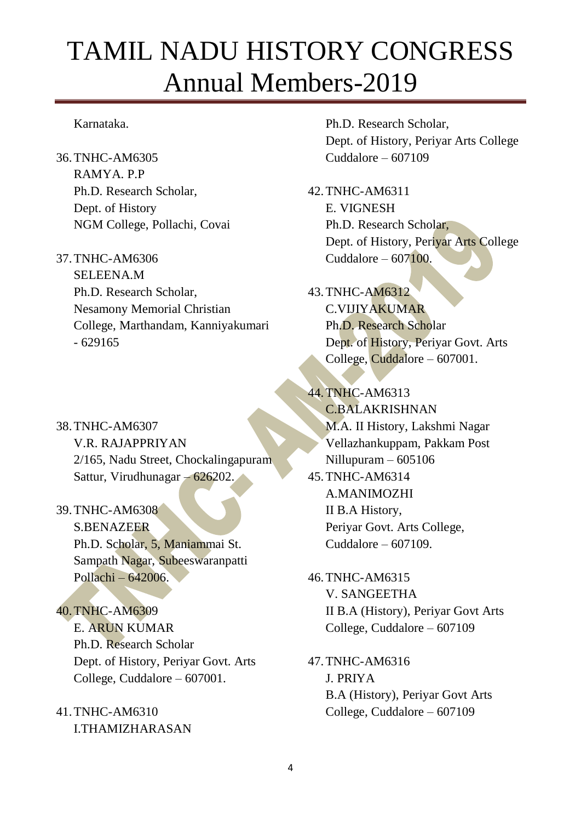#### Karnataka.

- 36.TNHC-AM6305 RAMYA. P.P Ph.D. Research Scholar, Dept. of History NGM College, Pollachi, Covai
- 37.TNHC-AM6306 SELEENA.M Ph.D. Research Scholar, Nesamony Memorial Christian College, Marthandam, Kanniyakumari - 629165
- 38.TNHC-AM6307 V.R. RAJAPPRIYAN 2/165, Nadu Street, Chockalingapuram Sattur, Virudhunagar – 626202.
- 39.TNHC-AM6308 S.BENAZEER Ph.D. Scholar, 5, Maniammai St. Sampath Nagar, Subeeswaranpatti Pollachi – 642006.
- 40.TNHC-AM6309 E. ARUN KUMAR Ph.D. Research Scholar Dept. of History, Periyar Govt. Arts College, Cuddalore – 607001.
- 41.TNHC-AM6310 I.THAMIZHARASAN

Ph.D. Research Scholar, Dept. of History, Periyar Arts College Cuddalore – 607109

- 42.TNHC-AM6311 E. VIGNESH Ph.D. Research Scholar, Dept. of History, Periyar Arts College Cuddalore –  $607100$ .
- 43.TNHC-AM6312 C.VIJIYAKUMAR Ph.D. Research Scholar Dept. of History, Periyar Govt. Arts College, Cuddalore – 607001.
- 44.TNHC-AM6313 C.BALAKRISHNAN M.A. II History, Lakshmi Nagar Vellazhankuppam, Pakkam Post Nillupuram – 605106 45.TNHC-AM6314 A.MANIMOZHI II B.A History, Periyar Govt. Arts College, Cuddalore  $-607109$ .
- 46.TNHC-AM6315 V. SANGEETHA II B.A (History), Periyar Govt Arts College, Cuddalore – 607109
- 47.TNHC-AM6316 J. PRIYA B.A (History), Periyar Govt Arts College, Cuddalore – 607109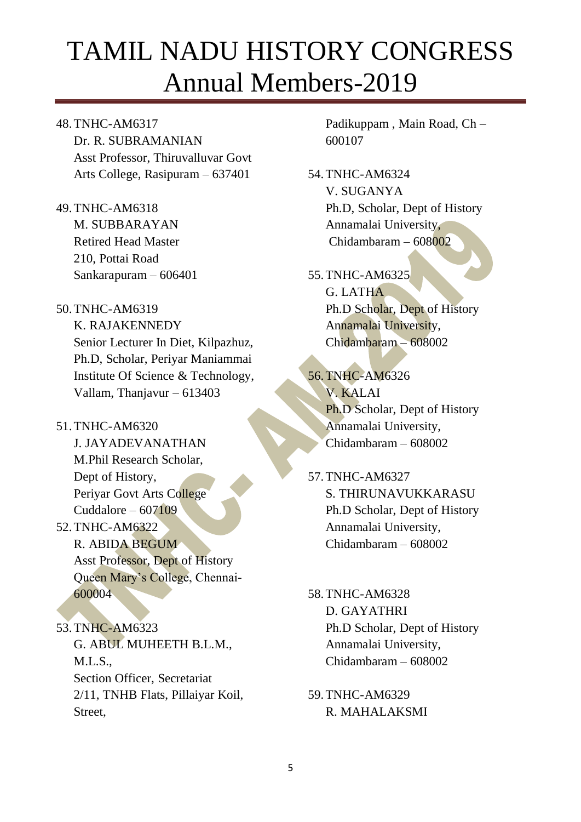#### 48.TNHC-AM6317

Dr. R. SUBRAMANIAN Asst Professor, Thiruvalluvar Govt Arts College, Rasipuram – 637401

49.TNHC-AM6318 M. SUBBARAYAN Retired Head Master 210, Pottai Road Sankarapuram – 606401

#### 50.TNHC-AM6319

K. RAJAKENNEDY Senior Lecturer In Diet, Kilpazhuz, Ph.D, Scholar, Periyar Maniammai Institute Of Science & Technology, Vallam, Thanjavur – 613403

51.TNHC-AM6320 J. JAYADEVANATHAN

> M.Phil Research Scholar, Dept of History, Periyar Govt Arts College Cuddalore –  $607109$

### 52.TNHC-AM6322 R. ABIDA BEGUM Asst Professor, Dept of History Queen Mary's College, Chennai-600004

53.TNHC-AM6323 G. ABUL MUHEETH B.L.M.,  $M.L.S.,$ Section Officer, Secretariat 2/11, TNHB Flats, Pillaiyar Koil, Street,

Padikuppam , Main Road, Ch – 600107

54.TNHC-AM6324 V. SUGANYA Ph.D, Scholar, Dept of History Annamalai University, Chidambaram – 608002

### 55.TNHC-AM6325 G. LATHA Ph.D Scholar, Dept of History Annamalai University, Chidambaram – 608002

### 56.TNHC-AM6326 V. KALAI Ph.D Scholar, Dept of History Annamalai University, Chidambaram – 608002

- 57.TNHC-AM6327 S. THIRUNAVUKKARASU Ph.D Scholar, Dept of History Annamalai University, Chidambaram – 608002
- 58.TNHC-AM6328 D. GAYATHRI Ph.D Scholar, Dept of History Annamalai University, Chidambaram – 608002
- 59.TNHC-AM6329 R. MAHALAKSMI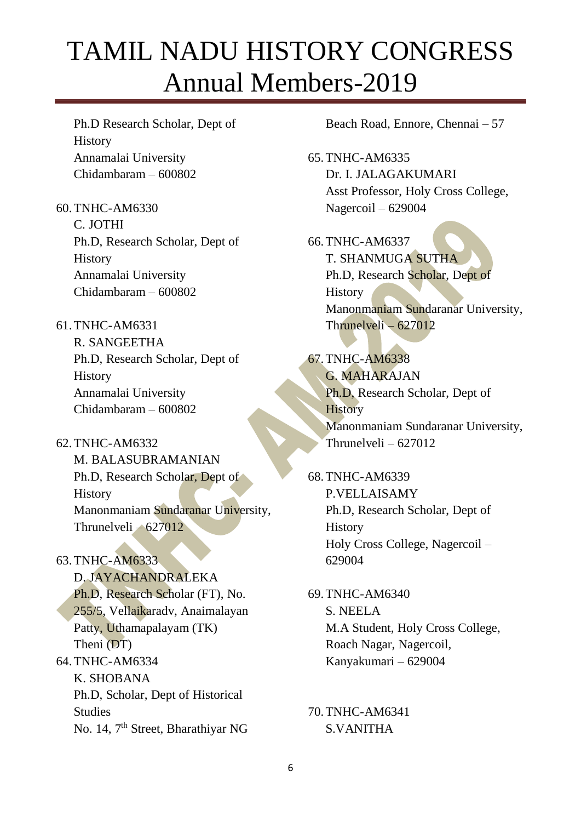Ph.D Research Scholar, Dept of **History** Annamalai University Chidambaram – 600802

- 60.TNHC-AM6330 C. JOTHI Ph.D, Research Scholar, Dept of **History** Annamalai University Chidambaram – 600802
- 61.TNHC-AM6331 R. SANGEETHA Ph.D, Research Scholar, Dept of History Annamalai University Chidambaram – 600802
- 62.TNHC-AM6332 M. BALASUBRAMANIAN Ph.D, Research Scholar, Dept of **History** Manonmaniam Sundaranar University, Thrunelveli – 627012
- 63.TNHC-AM6333 D. JAYACHANDRALEKA Ph.D, Research Scholar (FT), No. 255/5, Vellaikaradv, Anaimalayan Patty, Uthamapalayam (TK) Theni (DT) 64.TNHC-AM6334 K. SHOBANA Ph.D, Scholar, Dept of Historical Studies No. 14, 7th Street, Bharathiyar NG

Beach Road, Ennore, Chennai – 57

65.TNHC-AM6335 Dr. I. JALAGAKUMARI Asst Professor, Holy Cross College, Nagercoil – 629004

66.TNHC-AM6337 T. SHANMUGA SUTHA Ph.D, Research Scholar, Dept of **History** Manonmaniam Sundaranar University, Thrunelveli – 627012

67.TNHC-AM6338 G. MAHARAJAN Ph.D, Research Scholar, Dept of **History** Manonmaniam Sundaranar University, Thrunelveli – 627012

68.TNHC-AM6339 P.VELLAISAMY Ph.D, Research Scholar, Dept of **History** Holy Cross College, Nagercoil – 629004

69.TNHC-AM6340 S. NEELA M.A Student, Holy Cross College, Roach Nagar, Nagercoil, Kanyakumari – 629004

70.TNHC-AM6341 S.VANITHA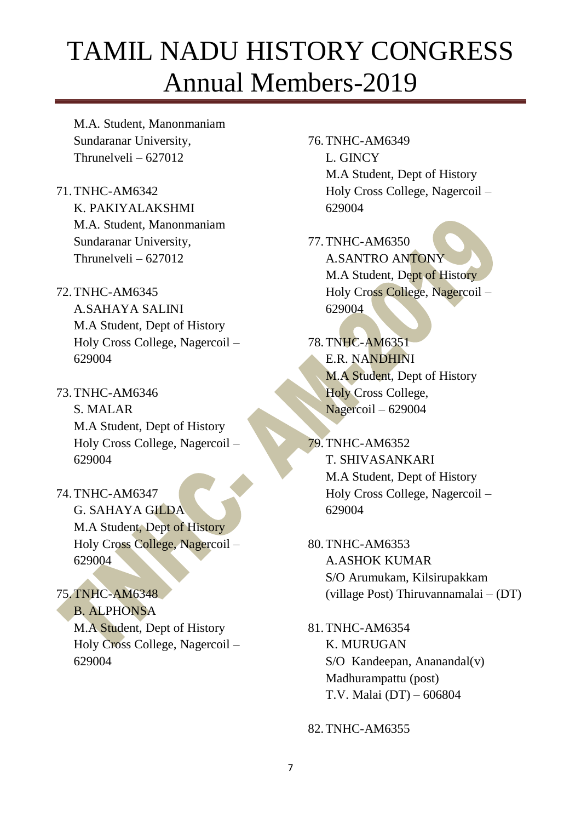M.A. Student, Manonmaniam Sundaranar University, Thrunelveli – 627012

- 71.TNHC-AM6342 K. PAKIYALAKSHMI M.A. Student, Manonmaniam Sundaranar University, Thrunelveli – 627012
- 72.TNHC-AM6345 A.SAHAYA SALINI M.A Student, Dept of History Holy Cross College, Nagercoil – 629004
- 73.TNHC-AM6346 S. MALAR M.A Student, Dept of History Holy Cross College, Nagercoil – 629004
- 74.TNHC-AM6347 G. SAHAYA GILDA M.A Student, Dept of History Holy Cross College, Nagercoil – 629004
- 75.TNHC-AM6348 B. ALPHONSA M.A Student, Dept of History Holy Cross College, Nagercoil – 629004

76.TNHC-AM6349 L. GINCY M.A Student, Dept of History Holy Cross College, Nagercoil – 629004

77.TNHC-AM6350 A.SANTRO ANTONY M.A Student, Dept of History Holy Cross College, Nagercoil – 629004

78.TNHC-AM6351 E.R. NANDHINI M.A Student, Dept of History Holy Cross College, Nagercoil – 629004

- 79.TNHC-AM6352 T. SHIVASANKARI M.A Student, Dept of History Holy Cross College, Nagercoil – 629004
- 80.TNHC-AM6353 A.ASHOK KUMAR S/O Arumukam, Kilsirupakkam (village Post) Thiruvannamalai – (DT)
- 81.TNHC-AM6354 K. MURUGAN S/O Kandeepan, Ananandal(v) Madhurampattu (post) T.V. Malai (DT) – 606804

#### 82.TNHC-AM6355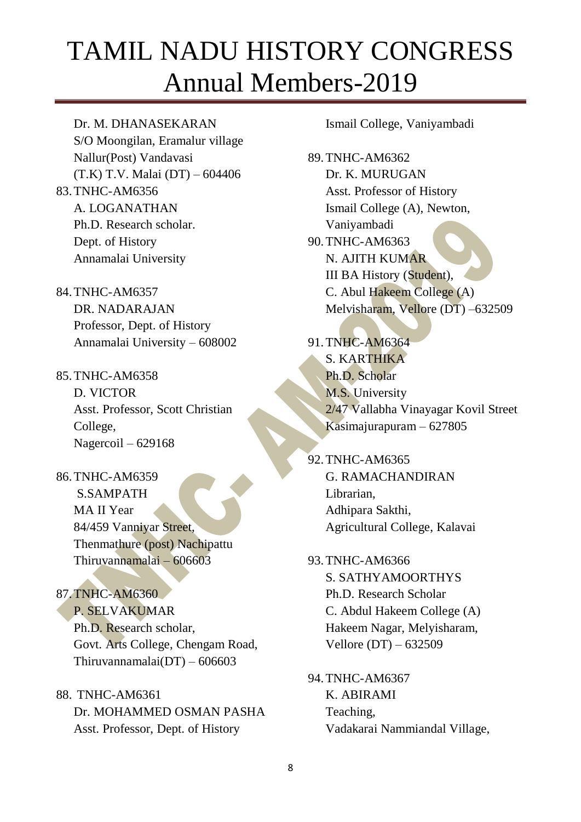Dr. M. DHANASEKARAN S/O Moongilan, Eramalur village Nallur(Post) Vandavasi (T.K) T.V. Malai (DT) – 604406 83.TNHC-AM6356 A. LOGANATHAN Ph.D. Research scholar. Dept. of History Annamalai University

- 84.TNHC-AM6357 DR. NADARAJAN Professor, Dept. of History Annamalai University – 608002
- 85.TNHC-AM6358 D. VICTOR Asst. Professor, Scott Christian College, Nagercoil – 629168
- 86.TNHC-AM6359 S.SAMPATH MA II Year 84/459 Vanniyar Street, Thenmathure (post) Nachipattu Thiruvannamalai – 606603
- 87.TNHC-AM6360 P. SELVAKUMAR Ph.D. Research scholar, Govt. Arts College, Chengam Road, Thiruvannamalai(DT) –  $606603$
- 88. TNHC-AM6361 Dr. MOHAMMED OSMAN PASHA Asst. Professor, Dept. of History

Ismail College, Vaniyambadi

89.TNHC-AM6362 Dr. K. MURUGAN Asst. Professor of History Ismail College (A), Newton, Vaniyambadi 90.TNHC-AM6363 N. AJITH KUMAR III BA History (Student), C. Abul Hakeem College (A) Melvisharam, Vellore (DT) –632509

91.TNHC-AM6364 S. KARTHIKA Ph.D. Scholar M.S. University 2/47 Vallabha Vinayagar Kovil Street Kasimajurapuram – 627805

92.TNHC-AM6365 G. RAMACHANDIRAN Librarian, Adhipara Sakthi, Agricultural College, Kalavai

- 93.TNHC-AM6366 S. SATHYAMOORTHYS Ph.D. Research Scholar C. Abdul Hakeem College (A) Hakeem Nagar, Melyisharam, Vellore (DT) – 632509
- 94.TNHC-AM6367 K. ABIRAMI Teaching, Vadakarai Nammiandal Village,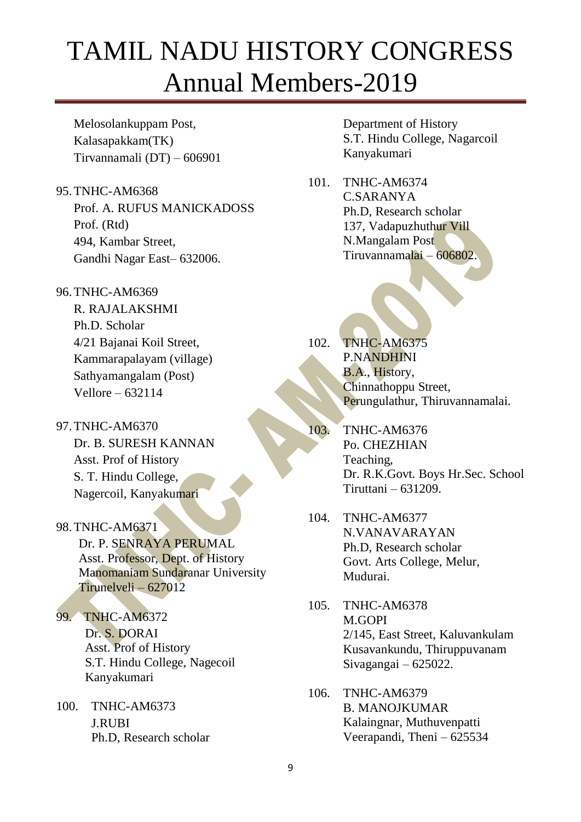Melosolankuppam Post, Kalasapakkam(TK) Tirvannamali (DT) – 606901

- 95.TNHC-AM6368 Prof. A. RUFUS MANICKADOSS Prof. (Rtd) 494, Kambar Street, Gandhi Nagar East– 632006.
- 96.TNHC-AM6369

R. RAJALAKSHMI Ph.D. Scholar 4/21 Bajanai Koil Street, Kammarapalayam (village) Sathyamangalam (Post) Vellore – 632114

- 97.TNHC-AM6370 Dr. B. SURESH KANNAN Asst. Prof of History S. T. Hindu College, Nagercoil, Kanyakumari
- 98.TNHC-AM6371 Dr. P. SENRAYA PERUMAL Asst. Professor, Dept. of History Manomaniam Sundaranar University Tirunelveli – 627012
- 99. TNHC-AM6372 Dr. S. DORAI Asst. Prof of History S.T. Hindu College, Nagecoil Kanyakumari
- 100. TNHC-AM6373 J.RUBI Ph.D, Research scholar

Department of History S.T. Hindu College, Nagarcoil Kanyakumari

101. TNHC-AM6374 C.SARANYA Ph.D, Research scholar 137, Vadapuzhuthur Vill N.Mangalam Post Tiruvannamalai – 606802.

102. TNHC-AM6375 P.NANDHINI B.A., History, Chinnathoppu Street, Perungulathur, Thiruvannamalai.

- 103. TNHC-AM6376 Po. CHEZHIAN Teaching, Dr. R.K.Govt. Boys Hr.Sec. School Tiruttani – 631209.
- 104. TNHC-AM6377 N.VANAVARAYAN Ph.D, Research scholar Govt. Arts College, Melur, Mudurai.
- 105. TNHC-AM6378 M.GOPI 2/145, East Street, Kaluvankulam Kusavankundu, Thiruppuvanam Sivagangai – 625022.
- 106. TNHC-AM6379 B. MANOJKUMAR Kalaingnar, Muthuvenpatti Veerapandi, Theni – 625534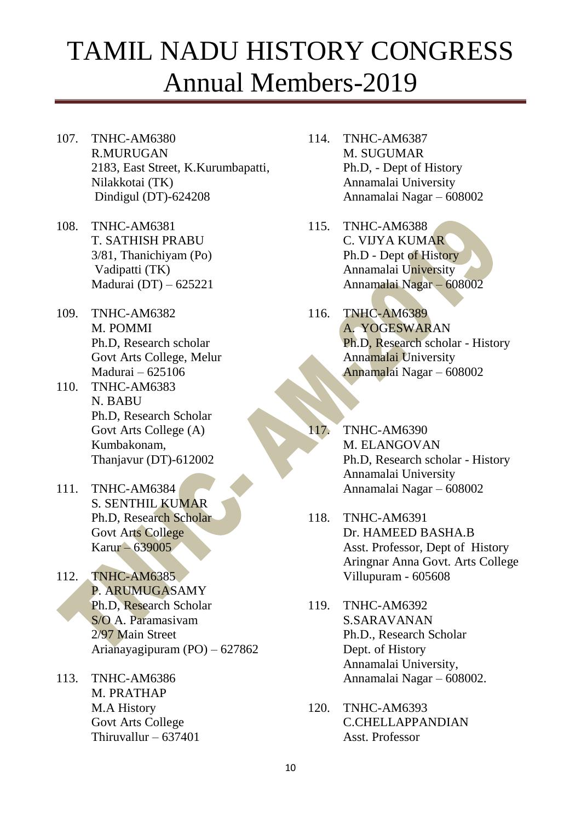- 107. TNHC-AM6380 R.MURUGAN 2183, East Street, K.Kurumbapatti, Nilakkotai (TK) Dindigul (DT)-624208
- 108. TNHC-AM6381 T. SATHISH PRABU 3/81, Thanichiyam (Po) Vadipatti (TK) Madurai (DT) – 625221
- 109. TNHC-AM6382 M. POMMI Ph.D, Research scholar Govt Arts College, Melur Madurai – 625106
- 110. TNHC-AM6383 N. BABU Ph.D, Research Scholar Govt Arts College (A) Kumbakonam, Thanjavur (DT)-612002
- 111. TNHC-AM6384 S. SENTHIL KUMAR Ph.D, Research Scholar Govt Arts College Karur – 639005
- 112. TNHC-AM6385 P. ARUMUGASAMY Ph.D, Research Scholar S/O A. Paramasivam 2/97 Main Street Arianayagipuram (PO) – 627862
- 113. TNHC-AM6386 M. PRATHAP M.A History Govt Arts College Thiruvallur – 637401
- 114. TNHC-AM6387 M. SUGUMAR Ph.D, - Dept of History Annamalai University Annamalai Nagar – 608002
- 115. TNHC-AM6388 C. VIJYA KUMAR Ph.D - Dept of History Annamalai University Annamalai Nagar – 608002
- 116. TNHC-AM6389 A. YOGESWARAN Ph.D, Research scholar - History Annamalai University Annamalai Nagar – 608002
- 117. TNHC-AM6390 M. ELANGOVAN Ph.D, Research scholar - History Annamalai University Annamalai Nagar – 608002
- 118. TNHC-AM6391 Dr. HAMEED BASHA.B Asst. Professor, Dept of History Aringnar Anna Govt. Arts College Villupuram - 605608
- 119. TNHC-AM6392 S.SARAVANAN Ph.D., Research Scholar Dept. of History Annamalai University, Annamalai Nagar – 608002.
- 120. TNHC-AM6393 C.CHELLAPPANDIAN Asst. Professor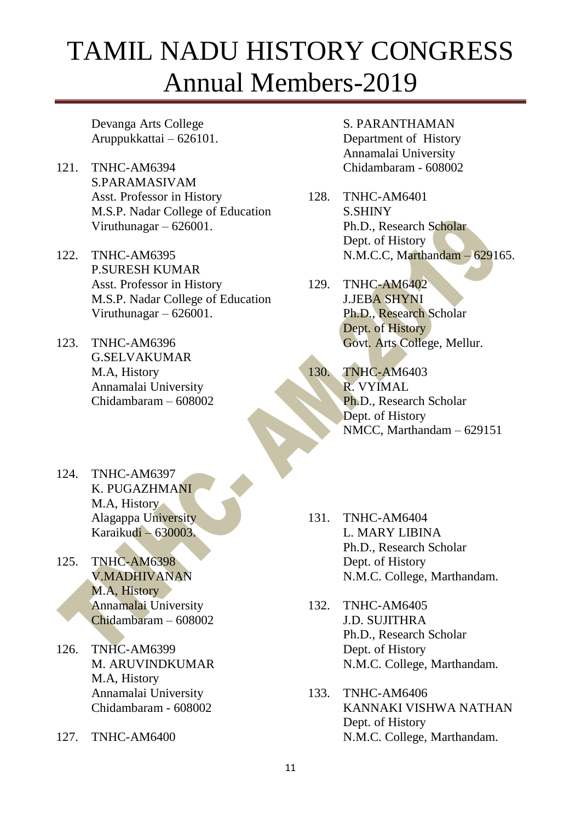Devanga Arts College Aruppukkattai – 626101.

- 121. TNHC-AM6394 S.PARAMASIVAM Asst. Professor in History M.S.P. Nadar College of Education Viruthunagar – 626001.
- 122. TNHC-AM6395 P.SURESH KUMAR Asst. Professor in History M.S.P. Nadar College of Education Viruthunagar – 626001.
- 123. TNHC-AM6396 G.SELVAKUMAR M.A, History Annamalai University Chidambaram – 608002
- S. PARANTHAMAN Department of History Annamalai University Chidambaram - 608002
- 128. TNHC-AM6401 S.SHINY Ph.D., Research Scholar Dept. of History N.M.C.C, Marthandam – 629165.
- 129. TNHC-AM6402 J.JEBA SHYNI Ph.D., Research Scholar Dept. of History Govt. Arts College, Mellur.
- 130. TNHC-AM6403 R. VYIMAL Ph.D., Research Scholar Dept. of History NMCC, Marthandam – 629151

- 124. TNHC-AM6397 K. PUGAZHMANI M.A, History Alagappa University Karaikudi – 630003.
- 125. TNHC-AM6398 V.MADHIVANAN M.A, History Annamalai University Chidambaram – 608002
- 126. TNHC-AM6399 M. ARUVINDKUMAR M.A, History Annamalai University Chidambaram - 608002
- 127. TNHC-AM6400
- 131. TNHC-AM6404 L. MARY LIBINA Ph.D., Research Scholar Dept. of History N.M.C. College, Marthandam.
- 132. TNHC-AM6405 J.D. SUJITHRA Ph.D., Research Scholar Dept. of History N.M.C. College, Marthandam.
- 133. TNHC-AM6406 KANNAKI VISHWA NATHAN Dept. of History N.M.C. College, Marthandam.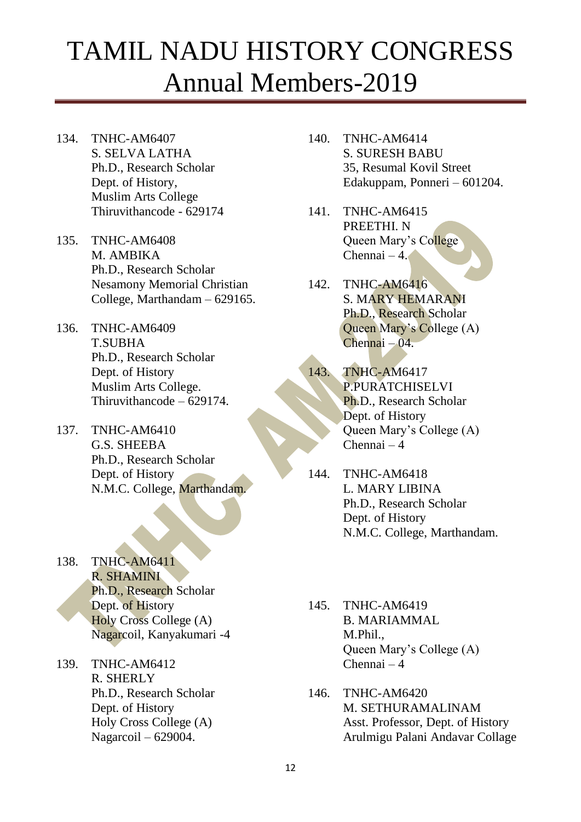- 134. TNHC-AM6407 S. SELVA LATHA Ph.D., Research Scholar Dept. of History, Muslim Arts College Thiruvithancode - 629174
- 135. TNHC-AM6408 M. AMBIKA Ph.D., Research Scholar Nesamony Memorial Christian College, Marthandam – 629165.
- 136. TNHC-AM6409 T.SUBHA Ph.D., Research Scholar Dept. of History Muslim Arts College. Thiruvithancode – 629174.
- 137. TNHC-AM6410 G.S. SHEEBA Ph.D., Research Scholar Dept. of History N.M.C. College, Marthandam.
- 138. TNHC-AM6411 R. SHAMINI Ph.D., Research Scholar Dept. of History Holy Cross College (A) Nagarcoil, Kanyakumari -4
- 139. TNHC-AM6412 R. SHERLY Ph.D., Research Scholar Dept. of History Holy Cross College (A) Nagarcoil – 629004.
- 140. TNHC-AM6414 S. SURESH BABU 35, Resumal Kovil Street Edakuppam, Ponneri – 601204.
- 141. TNHC-AM6415 PREETHI. N Queen Mary's College  $Chennai - 4.$
- 142. TNHC-AM6416 S. MARY HEMARANI Ph.D., Research Scholar Queen Mary's College (A) Chennai – 04.
- 143. TNHC-AM6417 P.PURATCHISELVI Ph.D., Research Scholar Dept. of History Queen Mary's College (A) Chennai – 4
- 144. TNHC-AM6418 L. MARY LIBINA Ph.D., Research Scholar Dept. of History N.M.C. College, Marthandam.
- 145. TNHC-AM6419 B. MARIAMMAL M.Phil., Queen Mary's College (A) Chennai – 4
- 146. TNHC-AM6420 M. SETHURAMALINAM Asst. Professor, Dept. of History Arulmigu Palani Andavar Collage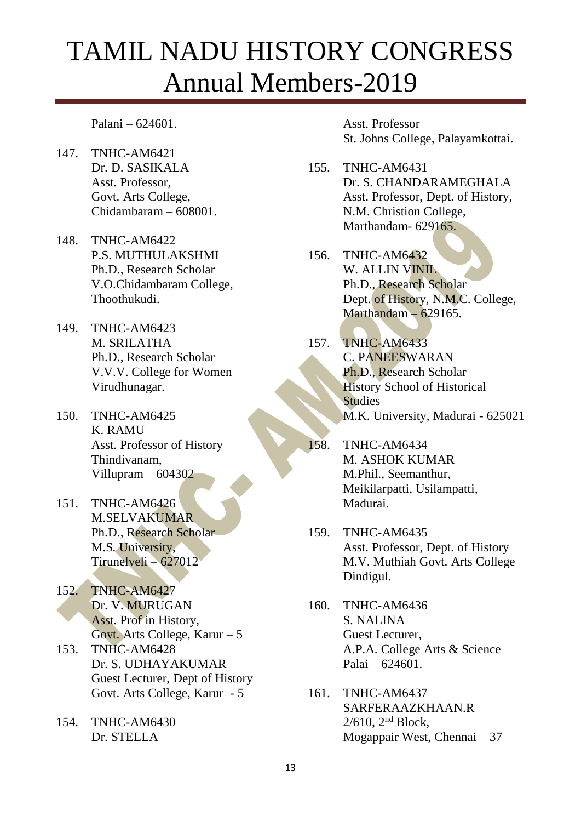Palani – 624601.

- 147. TNHC-AM6421 Dr. D. SASIKALA Asst. Professor, Govt. Arts College, Chidambaram – 608001.
- 148. TNHC-AM6422 P.S. MUTHULAKSHMI Ph.D., Research Scholar V.O.Chidambaram College, Thoothukudi.
- 149. TNHC-AM6423 M. SRILATHA Ph.D., Research Scholar V.V.V. College for Women Virudhunagar.
- 150. TNHC-AM6425 K. RAMU Asst. Professor of History Thindivanam, Villupram – 604302
- 151. TNHC-AM6426 M.SELVAKUMAR Ph.D., Research Scholar M.S. University, Tirunelveli – 627012
- 152. TNHC-AM6427 Dr. V. MURUGAN Asst. Prof in History, Govt. Arts College, Karur – 5
- 153. TNHC-AM6428 Dr. S. UDHAYAKUMAR Guest Lecturer, Dept of History Govt. Arts College, Karur - 5
- 154. TNHC-AM6430 Dr. STELLA

Asst. Professor St. Johns College, Palayamkottai.

- 155. TNHC-AM6431 Dr. S. CHANDARAMEGHALA Asst. Professor, Dept. of History, N.M. Christion College, Marthandam- 629165.
- 156. TNHC-AM6432 W. ALLIN VINIL Ph.D., Research Scholar Dept. of History, N.M.C. College, Marthandam – 629165.
- 157. TNHC-AM6433 C. PANEESWARAN Ph.D., Research Scholar History School of Historical **Studies** M.K. University, Madurai - 625021
- 158. TNHC-AM6434 M. ASHOK KUMAR M.Phil., Seemanthur, Meikilarpatti, Usilampatti, Madurai.
- 159. TNHC-AM6435 Asst. Professor, Dept. of History M.V. Muthiah Govt. Arts College Dindigul.
- 160. TNHC-AM6436 S. NALINA Guest Lecturer, A.P.A. College Arts & Science Palai – 624601.
- 161. TNHC-AM6437 SARFERAAZKHAAN.R 2/610, 2nd Block, Mogappair West, Chennai – 37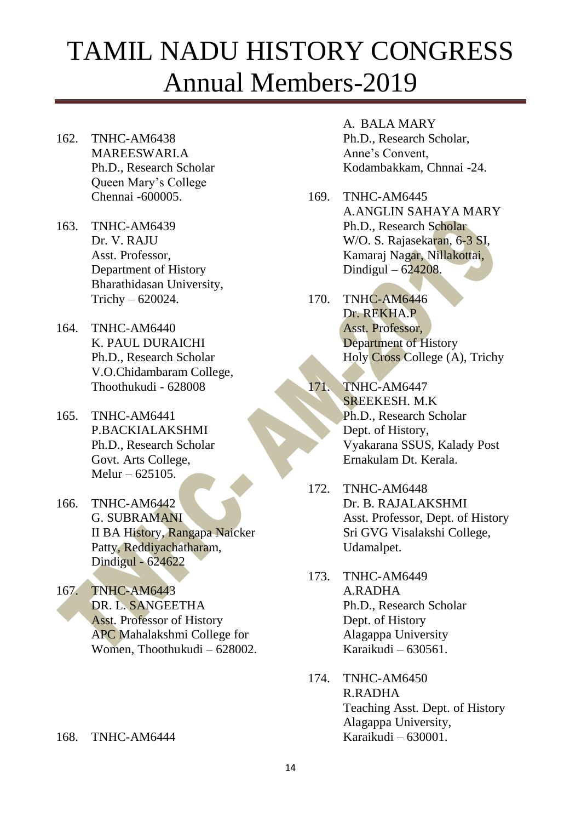- 162. TNHC-AM6438 MAREESWARI.A Ph.D., Research Scholar Queen Mary's College Chennai -600005.
- 163. TNHC-AM6439 Dr. V. RAJU Asst. Professor, Department of History Bharathidasan University, Trichy – 620024.
- 164. TNHC-AM6440 K. PAUL DURAICHI Ph.D., Research Scholar V.O.Chidambaram College, Thoothukudi - 628008
- 165. TNHC-AM6441 P.BACKIALAKSHMI Ph.D., Research Scholar Govt. Arts College, Melur – 625105.
- 166. TNHC-AM6442 G. SUBRAMANI II BA History, Rangapa Naicker Patty, Reddiyachatharam, Dindigul - 624622
- 167. TNHC-AM6443 DR. L. SANGEETHA Asst. Professor of History APC Mahalakshmi College for Women, Thoothukudi – 628002.

#### 168. TNHC-AM6444

#### A. BALA MARY

Ph.D., Research Scholar, Anne's Convent, Kodambakkam, Chnnai -24.

- 169. TNHC-AM6445 A.ANGLIN SAHAYA MARY Ph.D., Research Scholar W/O. S. Rajasekaran, 6-3 SI, Kamaraj Nagar, Nillakottai, Dindigul – 624208.
- 170. TNHC-AM6446 Dr. REKHA.P Asst. Professor, Department of History Holy Cross College (A), Trichy

171. TNHC-AM6447 SREEKESH. M.K Ph.D., Research Scholar Dept. of History, Vyakarana SSUS, Kalady Post Ernakulam Dt. Kerala.

- 172. TNHC-AM6448 Dr. B. RAJALAKSHMI Asst. Professor, Dept. of History Sri GVG Visalakshi College, Udamalpet.
- 173. TNHC-AM6449 A.RADHA Ph.D., Research Scholar Dept. of History Alagappa University Karaikudi – 630561.
- 174. TNHC-AM6450 R.RADHA Teaching Asst. Dept. of History Alagappa University, Karaikudi – 630001.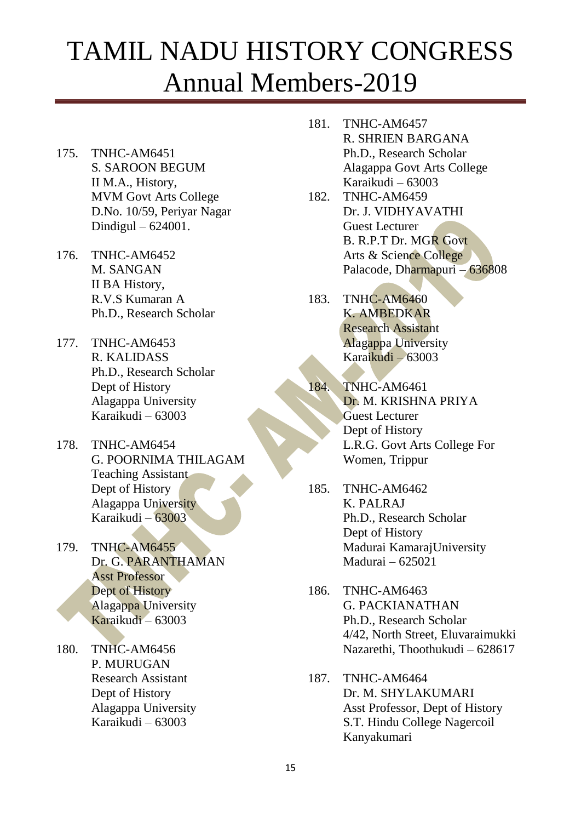- 175. TNHC-AM6451 S. SAROON BEGUM II M.A., History, MVM Govt Arts College D.No. 10/59, Periyar Nagar Dindigul – 624001.
- 176. TNHC-AM6452 M. SANGAN II BA History, R.V.S Kumaran A Ph.D., Research Scholar
- 177. TNHC-AM6453 R. KALIDASS Ph.D., Research Scholar Dept of History Alagappa University Karaikudi – 63003
- 178. TNHC-AM6454 G. POORNIMA THILAGAM Teaching Assistant Dept of History Alagappa University Karaikudi – 63003
- 179. TNHC-AM6455 Dr. G. PARANTHAMAN Asst Professor Dept of History Alagappa University Karaikudi – 63003
- 180. TNHC-AM6456 P. MURUGAN Research Assistant Dept of History Alagappa University Karaikudi – 63003
- 181. TNHC-AM6457 R. SHRIEN BARGANA Ph.D., Research Scholar Alagappa Govt Arts College Karaikudi – 63003
- 182. TNHC-AM6459 Dr. J. VIDHYAVATHI Guest Lecturer B. R.P.T Dr. MGR Govt Arts & Science College Palacode, Dharmapuri – 636808
- 183. TNHC-AM6460 K. AMBEDKAR Research Assistant Alagappa University Karaikudi – 63003
- 184. TNHC-AM6461 Dr. M. KRISHNA PRIYA Guest Lecturer Dept of History L.R.G. Govt Arts College For Women, Trippur
- 185. TNHC-AM6462 K. PALRAJ Ph.D., Research Scholar Dept of History Madurai KamarajUniversity Madurai – 625021
- 186. TNHC-AM6463 G. PACKIANATHAN Ph.D., Research Scholar 4/42, North Street, Eluvaraimukki Nazarethi, Thoothukudi – 628617

#### 187. TNHC-AM6464 Dr. M. SHYLAKUMARI Asst Professor, Dept of History S.T. Hindu College Nagercoil Kanyakumari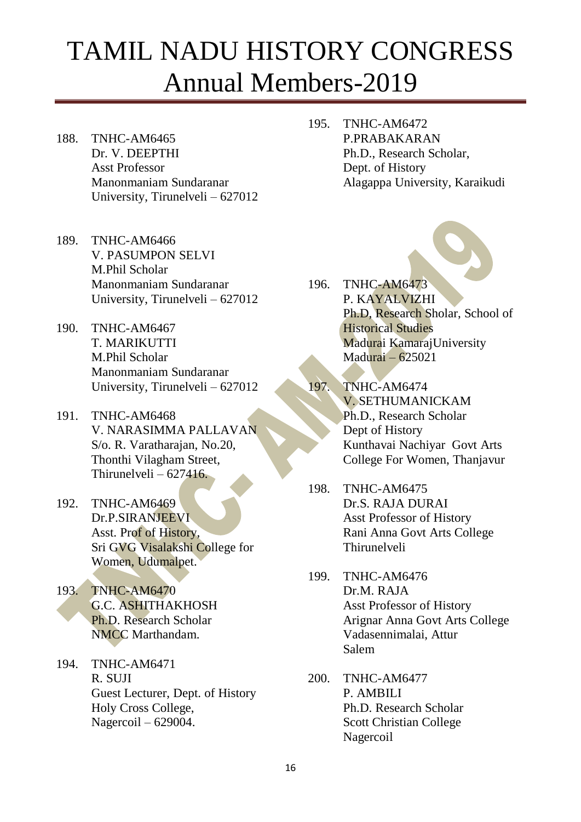- 188. TNHC-AM6465 Dr. V. DEEPTHI Asst Professor Manonmaniam Sundaranar University, Tirunelveli – 627012
- 189. TNHC-AM6466 V. PASUMPON SELVI M.Phil Scholar Manonmaniam Sundaranar University, Tirunelveli – 627012
- 190. TNHC-AM6467 T. MARIKUTTI M.Phil Scholar Manonmaniam Sundaranar University, Tirunelveli – 627012
- 191. TNHC-AM6468 V. NARASIMMA PALLAVAN S/o. R. Varatharajan, No.20, Thonthi Vilagham Street, Thirunelveli –  $627416$ .
- 192. TNHC-AM6469 Dr.P.SIRANJEEVI Asst. Prof of History, Sri GVG Visalakshi College for Women, Udumalpet.
- 193. TNHC-AM6470 G.C. ASHITHAKHOSH Ph.D. Research Scholar NMCC Marthandam.
- 194. TNHC-AM6471 R. SUJI Guest Lecturer, Dept. of History Holy Cross College, Nagercoil – 629004.

195. TNHC-AM6472 P.PRABAKARAN Ph.D., Research Scholar, Dept. of History Alagappa University, Karaikudi

- 196. TNHC-AM6473 P. KAYALVIZHI Ph.D, Research Sholar, School of Historical Studies Madurai KamarajUniversity Madurai – 625021
- 197. TNHC-AM6474 V. SETHUMANICKAM Ph.D., Research Scholar Dept of History Kunthavai Nachiyar Govt Arts College For Women, Thanjavur
- 198. TNHC-AM6475 Dr.S. RAJA DURAI Asst Professor of History Rani Anna Govt Arts College Thirunelveli
- 199. TNHC-AM6476 Dr.M. RAJA Asst Professor of History Arignar Anna Govt Arts College Vadasennimalai, Attur Salem
- 200. TNHC-AM6477 P. AMBILI Ph.D. Research Scholar Scott Christian College Nagercoil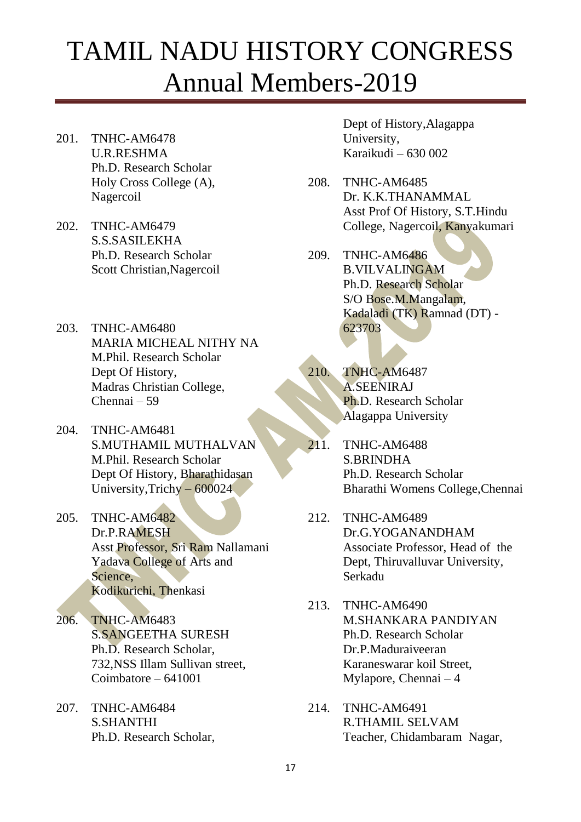- 201. TNHC-AM6478 U.R.RESHMA Ph.D. Research Scholar Holy Cross College (A), Nagercoil
- 202. TNHC-AM6479 S.S.SASILEKHA Ph.D. Research Scholar Scott Christian,Nagercoil
- 203. TNHC-AM6480 MARIA MICHEAL NITHY NA M.Phil. Research Scholar Dept Of History, Madras Christian College, Chennai – 59
- 204. TNHC-AM6481 S.MUTHAMIL MUTHALVAN M.Phil. Research Scholar Dept Of History, Bharathidasan University,Trichy – 600024
- 205. TNHC-AM6482 Dr.P.RAMESH Asst Professor, Sri Ram Nallamani Yadava College of Arts and Science, Kodikurichi, Thenkasi
- 206. TNHC-AM6483 S.SANGEETHA SURESH Ph.D. Research Scholar, 732,NSS Illam Sullivan street, Coimbatore – 641001
- 207. TNHC-AM6484 S.SHANTHI Ph.D. Research Scholar,

Dept of History,Alagappa University, Karaikudi – 630 002

- 208. TNHC-AM6485 Dr. K.K.THANAMMAL Asst Prof Of History, S.T.Hindu College, Nagercoil, Kanyakumari
- 209. TNHC-AM6486 B.VILVALINGAM Ph.D. Research Scholar S/O Bose.M.Mangalam, Kadaladi (TK) Ramnad (DT) - 623703
- 210. TNHC-AM6487 A.SEENIRAJ Ph.D. Research Scholar Alagappa University
- 211. TNHC-AM6488 S.BRINDHA Ph.D. Research Scholar Bharathi Womens College,Chennai
- 212. TNHC-AM6489 Dr.G.YOGANANDHAM Associate Professor, Head of the Dept, Thiruvalluvar University, Serkadu
- 213. TNHC-AM6490 M.SHANKARA PANDIYAN Ph.D. Research Scholar Dr.P.Maduraiveeran Karaneswarar koil Street, Mylapore, Chennai – 4
- 214. TNHC-AM6491 R.THAMIL SELVAM Teacher, Chidambaram Nagar,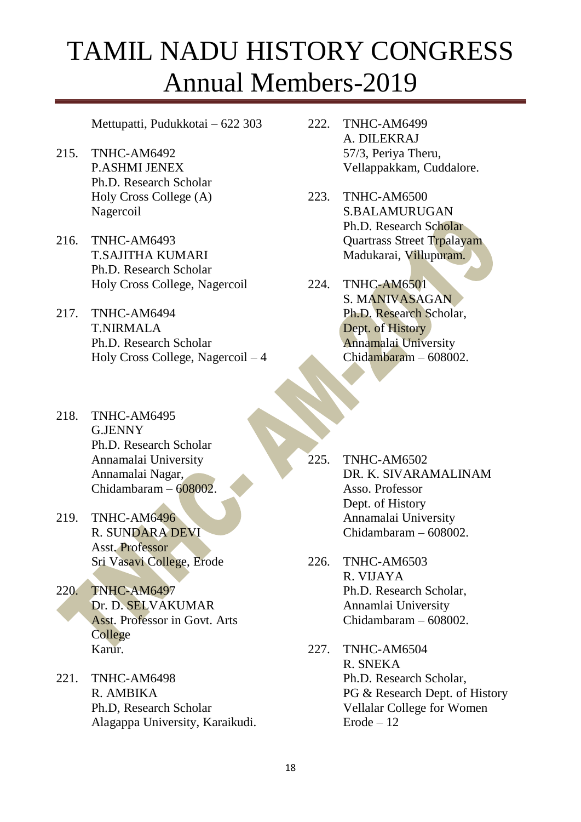Mettupatti, Pudukkotai – 622 303

- 215. TNHC-AM6492 P.ASHMI JENEX Ph.D. Research Scholar Holy Cross College (A) Nagercoil
- 216. TNHC-AM6493 T.SAJITHA KUMARI Ph.D. Research Scholar Holy Cross College, Nagercoil
- 217. TNHC-AM6494 T.NIRMALA Ph.D. Research Scholar Holy Cross College, Nagercoil – 4
- 218. TNHC-AM6495 G.JENNY Ph.D. Research Scholar Annamalai University Annamalai Nagar, Chidambaram – 608002.
- 219. TNHC-AM6496 R. SUNDARA DEVI Asst. Professor Sri Vasavi College, Erode
- 220. TNHC-AM6497 Dr. D. SELVAKUMAR Asst. Professor in Govt. Arts College Karur.
- 221. TNHC-AM6498 R. AMBIKA Ph.D, Research Scholar Alagappa University, Karaikudi.
- 222. TNHC-AM6499 A. DILEKRAJ 57/3, Periya Theru, Vellappakkam, Cuddalore.
- 223. TNHC-AM6500 S.BALAMURUGAN Ph.D. Research Scholar Quartrass Street Trpalayam Madukarai, Villupuram.
- 224. TNHC-AM6501 S. MANIVASAGAN Ph.D. Research Scholar, Dept. of History Annamalai University Chidambaram – 608002.

- 225. TNHC-AM6502 DR. K. SIVARAMALINAM Asso. Professor Dept. of History Annamalai University Chidambaram – 608002.
- 226. TNHC-AM6503 R. VIJAYA Ph.D. Research Scholar, Annamlai University Chidambaram – 608002.
- 227. TNHC-AM6504 R. SNEKA Ph.D. Research Scholar, PG & Research Dept. of History Vellalar College for Women Erode – 12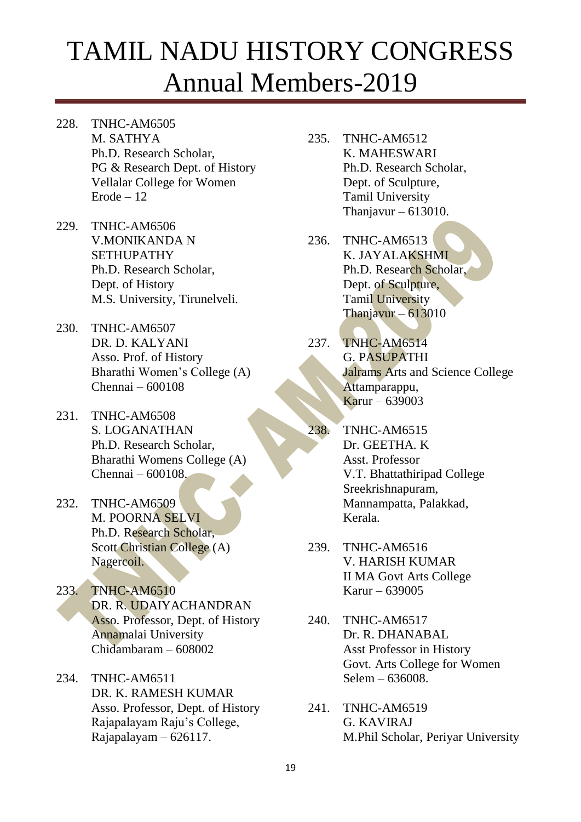- 228. TNHC-AM6505 M. SATHYA Ph.D. Research Scholar, PG & Research Dept. of History Vellalar College for Women Erode – 12
- 229. TNHC-AM6506 V.MONIKANDA N **SETHUPATHY** Ph.D. Research Scholar, Dept. of History M.S. University, Tirunelveli.
- 230. TNHC-AM6507 DR. D. KALYANI Asso. Prof. of History Bharathi Women's College (A) Chennai – 600108
- 231. TNHC-AM6508 S. LOGANATHAN Ph.D. Research Scholar, Bharathi Womens College (A) Chennai – 600108.
- 232. TNHC-AM6509 M. POORNA SELVI Ph.D. Research Scholar, Scott Christian College (A) Nagercoil.
- 233. TNHC-AM6510 DR. R. UDAIYACHANDRAN Asso. Professor, Dept. of History Annamalai University Chidambaram – 608002
- 234. TNHC-AM6511 DR. K. RAMESH KUMAR Asso. Professor, Dept. of History Rajapalayam Raju's College, Rajapalayam – 626117.
- 235. TNHC-AM6512 K. MAHESWARI Ph.D. Research Scholar, Dept. of Sculpture, Tamil University Thanjavur – 613010.
- 236. TNHC-AM6513 K. JAYALAKSHMI Ph.D. Research Scholar, Dept. of Sculpture, Tamil University Thanjavur – 613010
- 237. TNHC-AM6514 G. PASUPATHI Jalrams Arts and Science College Attamparappu, Karur – 639003
- 238. TNHC-AM6515 Dr. GEETHA. K Asst. Professor V.T. Bhattathiripad College Sreekrishnapuram, Mannampatta, Palakkad, Kerala.
- 239. TNHC-AM6516 V. HARISH KUMAR II MA Govt Arts College Karur – 639005
- 240. TNHC-AM6517 Dr. R. DHANABAL Asst Professor in History Govt. Arts College for Women Selem – 636008.
- 241. TNHC-AM6519 G. KAVIRAJ M.Phil Scholar, Periyar University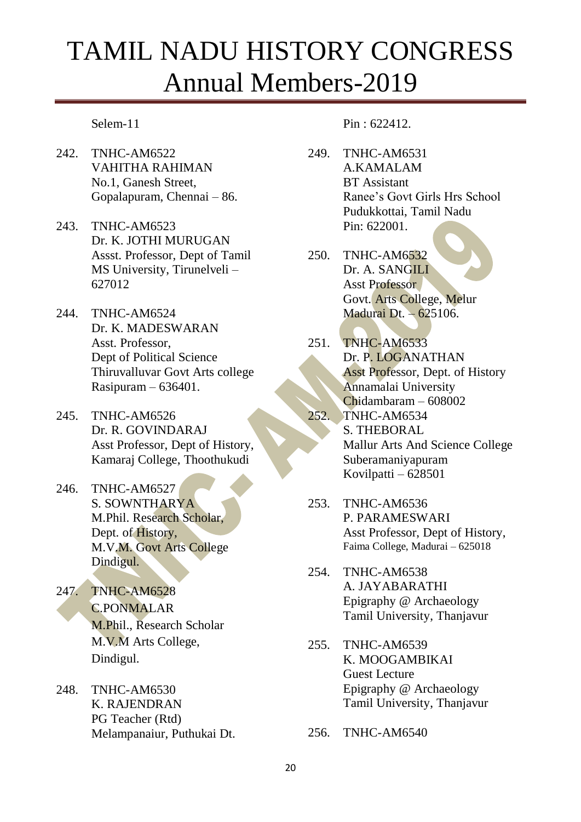#### Selem-11

- 242. TNHC-AM6522 VAHITHA RAHIMAN No.1, Ganesh Street, Gopalapuram, Chennai – 86.
- 243. TNHC-AM6523 Dr. K. JOTHI MURUGAN Assst. Professor, Dept of Tamil MS University, Tirunelveli – 627012
- 244. TNHC-AM6524 Dr. K. MADESWARAN Asst. Professor, Dept of Political Science Thiruvalluvar Govt Arts college Rasipuram – 636401.
- 245. TNHC-AM6526 Dr. R. GOVINDARAJ Asst Professor, Dept of History, Kamaraj College, Thoothukudi
- 246. TNHC-AM6527 S. SOWNTHARYA M.Phil. Research Scholar, Dept. of History, M.V.M. Govt Arts College Dindigul.
- 247. TNHC-AM6528 C.PONMALAR M.Phil., Research Scholar M.V.M Arts College, Dindigul.
- 248. TNHC-AM6530 K. RAJENDRAN PG Teacher (Rtd) Melampanaiur, Puthukai Dt.

#### Pin : 622412.

- 249. TNHC-AM6531 A.KAMALAM BT Assistant Ranee's Govt Girls Hrs School Pudukkottai, Tamil Nadu Pin: 622001.
- 250. TNHC-AM6532 Dr. A. SANGILI Asst Professor Govt. Arts College, Melur Madurai Dt. – 625106.
- 251. TNHC-AM6533 Dr. P. LOGANATHAN Asst Professor, Dept. of History Annamalai University Chidambaram – 608002
- 252. TNHC-AM6534 S. THEBORAL Mallur Arts And Science College Suberamaniyapuram Kovilpatti – 628501
- 253. TNHC-AM6536 P. PARAMESWARI Asst Professor, Dept of History, Faima College, Madurai – 625018
- 254. TNHC-AM6538 A. JAYABARATHI Epigraphy @ Archaeology Tamil University, Thanjavur
- 255. TNHC-AM6539 K. MOOGAMBIKAI Guest Lecture Epigraphy @ Archaeology Tamil University, Thanjavur
- 256. TNHC-AM6540